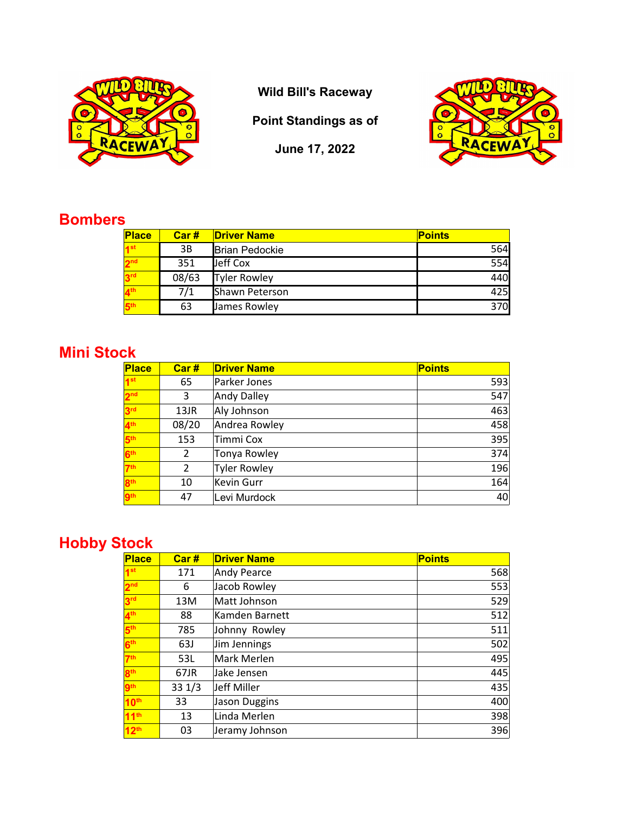

**Wild Bill's Raceway**

**Point Standings as of**

**June 17, 2022**



## **Bombers**

| Place           | Car#  | <b>Driver Name</b>    | <b>Points</b> |
|-----------------|-------|-----------------------|---------------|
| 1st             | 3B    | <b>Brian Pedockie</b> | 564           |
| 2 <sup>nd</sup> | 351   | Jeff Cox              | 554           |
| 3 <sup>rd</sup> | 08/63 | <b>Tyler Rowley</b>   | 440           |
| 4 <sup>th</sup> | 7/1   | Shawn Peterson        | 425           |
| 5 <sup>th</sup> | 63    | James Rowley          | 370           |

## **Mini Stock**

| <b>Place</b>    | Car#  | <b>Driver Name</b>  | <b>Points</b> |
|-----------------|-------|---------------------|---------------|
| 1 <sup>st</sup> | 65    | Parker Jones        | 593           |
| 2 <sup>nd</sup> | 3     | <b>Andy Dalley</b>  | 547           |
| 3 <sup>rd</sup> | 13JR  | Aly Johnson         | 463           |
| 4 <sup>th</sup> | 08/20 | Andrea Rowley       | 458           |
| 5 <sup>th</sup> | 153   | Timmi Cox           | 395           |
| 6 <sup>th</sup> | 2     | Tonya Rowley        | 374           |
| 7 <sup>th</sup> | 2     | <b>Tyler Rowley</b> | 196           |
| 8 <sup>th</sup> | 10    | Kevin Gurr          | 164           |
| <b>gth</b>      | 47    | Levi Murdock        | 40            |

# **Hobby Stock**

| <b>Place</b>     | Car#       | <b>Driver Name</b> | <b>Points</b> |
|------------------|------------|--------------------|---------------|
| 1 <sup>st</sup>  | 171        | Andy Pearce        | 568           |
| 2 <sup>nd</sup>  | 6          | Jacob Rowley       | 553           |
| 3 <sup>rd</sup>  | 13M        | Matt Johnson       | 529           |
| 4 <sup>th</sup>  | 88         | Kamden Barnett     | 512           |
| 5 <sup>th</sup>  | 785        | Johnny Rowley      | 511           |
| 6 <sup>th</sup>  | <b>63J</b> | Jim Jennings       | 502           |
| 7 <sup>th</sup>  | 53L        | Mark Merlen        | 495           |
| 8 <sup>th</sup>  | 67JR       | Jake Jensen        | 445           |
| <b>gth</b>       | 331/3      | Jeff Miller        | 435           |
| 10 <sup>th</sup> | 33         | Jason Duggins      | 400           |
| 11 <sup>th</sup> | 13         | Linda Merlen       | 398           |
| 12th             | 03         | Jeramy Johnson     | 396           |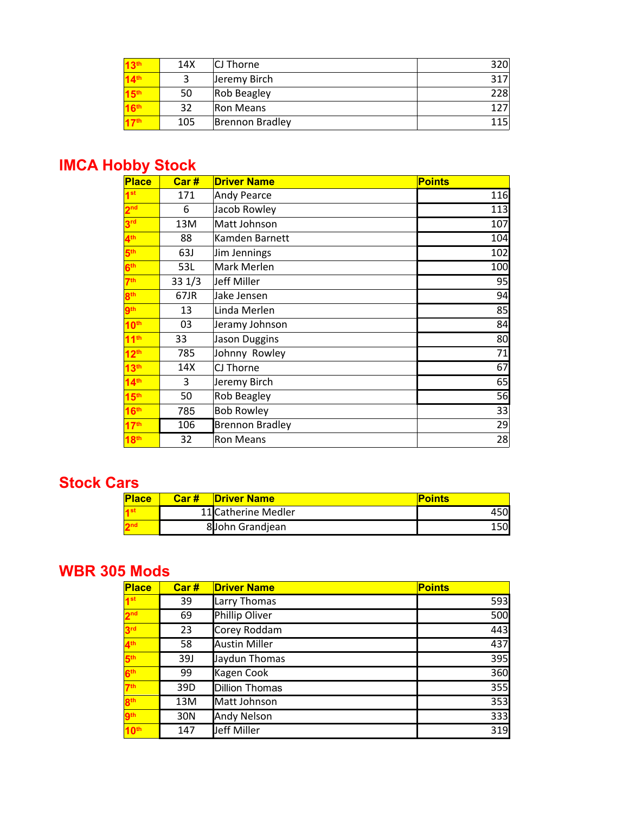| 13 <sup>th</sup> | 14X | CJ Thorne        | 320 |
|------------------|-----|------------------|-----|
| 14 <sup>th</sup> | 3   | Jeremy Birch     | 317 |
| 15 <sup>th</sup> | 50  | Rob Beagley      | 228 |
| 16th             | 32  | <b>Ron Means</b> | 127 |
| 17 <sup>th</sup> | 105 | Brennon Bradley  | 115 |

#### **IMCA Hobby Stock**

| <b>Place</b>     | Car#  | <b>Driver Name</b>     | <b>Points</b> |
|------------------|-------|------------------------|---------------|
| 1 <sup>st</sup>  | 171   | <b>Andy Pearce</b>     | 116           |
| 2 <sup>nd</sup>  | 6     | Jacob Rowley           | 113           |
| 3 <sup>rd</sup>  | 13M   | Matt Johnson           | 107           |
| $4^{\text{th}}$  | 88    | Kamden Barnett         | 104           |
| 5 <sup>th</sup>  | 63J   | Jim Jennings           | 102           |
| 6 <sup>th</sup>  | 53L   | Mark Merlen            | 100           |
| 7 <sup>th</sup>  | 331/3 | Jeff Miller            | 95            |
| 8 <sup>th</sup>  | 67JR  | Jake Jensen            | 94            |
| 9th              | 13    | Linda Merlen           | 85            |
| 10 <sup>th</sup> | 03    | Jeramy Johnson         | 84            |
| 11 <sup>th</sup> | 33    | Jason Duggins          | 80            |
| 12 <sup>th</sup> | 785   | Johnny Rowley          | 71            |
| 13 <sup>th</sup> | 14X   | CJ Thorne              | 67            |
| 14 <sup>th</sup> | 3     | Jeremy Birch           | 65            |
| 15 <sup>th</sup> | 50    | <b>Rob Beagley</b>     | 56            |
| 16 <sup>th</sup> | 785   | <b>Bob Rowley</b>      | 33            |
| 17 <sup>th</sup> | 106   | <b>Brennon Bradley</b> | 29            |
| 18 <sup>th</sup> | 32    | Ron Means              | 28            |

### **Stock Cars**

| <b>Place</b> | Car # | <b>IDriver Name</b> | <u> Points</u> |
|--------------|-------|---------------------|----------------|
|              |       | 11 Catherine Medler | 450I           |
|              |       | 8 John Grandjean    | 150            |

#### **WBR 305 Mods**

| <b>Place</b>     | Car#       | <b>Driver Name</b>    | <b>Points</b> |
|------------------|------------|-----------------------|---------------|
| 1 <sup>st</sup>  | 39         | <b>Larry Thomas</b>   | 593           |
| 2 <sub>nd</sub>  | 69         | Phillip Oliver        | 500           |
| 3 <sup>rd</sup>  | 23         | Corey Roddam          | 443           |
| 4 <sup>th</sup>  | 58         | <b>Austin Miller</b>  | 437           |
| 5 <sup>th</sup>  | <b>39J</b> | Jaydun Thomas         | 395           |
| 6 <sup>th</sup>  | 99         | Kagen Cook            | 360           |
| 7 <sup>th</sup>  | 39D        | <b>Dillion Thomas</b> | 355           |
| 8 <sup>th</sup>  | 13M        | Matt Johnson          | 353           |
| <b>gth</b>       | 30N        | <b>Andy Nelson</b>    | 333           |
| 10 <sup>th</sup> | 147        | Jeff Miller           | 319           |